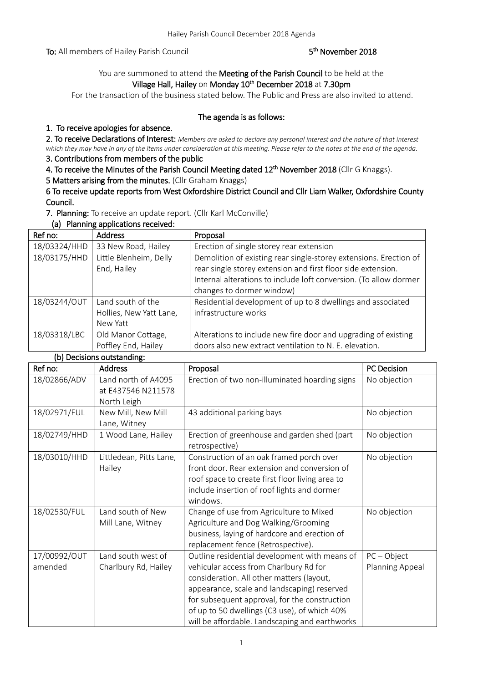To: All members of Hailey Parish Council

### <sup>th</sup> November 2018

## You are summoned to attend the Meeting of the Parish Council to be held at the Village Hall, Hailey on Monday 10<sup>th</sup> December 2018 at 7.30pm

For the transaction of the business stated below. The Public and Press are also invited to attend.

#### The agenda is as follows:

## 1. To receive apologies for absence.

2. To receive Declarations of Interest: *Members are asked to declare any personal interest and the nature of that interest which they may have in any of the items under consideration at this meeting. Please refer to the notes at the end of the agenda.*

# 3. Contributions from members of the public

4. To receive the Minutes of the Parish Council Meeting dated 12<sup>th</sup> November 2018 (Cllr G Knaggs).

5 Matters arising from the minutes. (Cllr Graham Knaggs)

6 To receive update reports from West Oxfordshire District Council and Cllr Liam Walker, Oxfordshire County Council.

7. Planning: To receive an update report. (Cllr Karl McConville)

(a) Planning applications received:

| Ref no:      | <b>Address</b>          | Proposal                                                          |
|--------------|-------------------------|-------------------------------------------------------------------|
| 18/03324/HHD | 33 New Road, Hailey     | Erection of single storey rear extension                          |
| 18/03175/HHD | Little Blenheim, Delly  | Demolition of existing rear single-storey extensions. Erection of |
|              | End, Hailey             | rear single storey extension and first floor side extension.      |
|              |                         | Internal alterations to include loft conversion. (To allow dormer |
|              |                         | changes to dormer window)                                         |
| 18/03244/OUT | Land south of the       | Residential development of up to 8 dwellings and associated       |
|              | Hollies, New Yatt Lane, | infrastructure works                                              |
|              | New Yatt                |                                                                   |
| 18/03318/LBC | Old Manor Cottage,      | Alterations to include new fire door and upgrading of existing    |
|              | Poffley End, Hailey     | doors also new extract ventilation to N. E. elevation.            |

#### (b) Decisions outstanding:

| Ref no:      | <b>Address</b>          | Proposal                                        | <b>PC Decision</b> |
|--------------|-------------------------|-------------------------------------------------|--------------------|
| 18/02866/ADV | Land north of A4095     | Erection of two non-illuminated hoarding signs  | No objection       |
|              | at E437546 N211578      |                                                 |                    |
|              | North Leigh             |                                                 |                    |
| 18/02971/FUL | New Mill, New Mill      | 43 additional parking bays                      | No objection       |
|              | Lane, Witney            |                                                 |                    |
| 18/02749/HHD | 1 Wood Lane, Hailey     | Erection of greenhouse and garden shed (part    | No objection       |
|              |                         | retrospective)                                  |                    |
| 18/03010/HHD | Littledean, Pitts Lane, | Construction of an oak framed porch over        | No objection       |
|              | Hailey                  | front door. Rear extension and conversion of    |                    |
|              |                         | roof space to create first floor living area to |                    |
|              |                         | include insertion of roof lights and dormer     |                    |
|              |                         | windows.                                        |                    |
| 18/02530/FUL | Land south of New       | Change of use from Agriculture to Mixed         | No objection       |
|              | Mill Lane, Witney       | Agriculture and Dog Walking/Grooming            |                    |
|              |                         | business, laying of hardcore and erection of    |                    |
|              |                         | replacement fence (Retrospective).              |                    |
| 17/00992/OUT | Land south west of      | Outline residential development with means of   | $PC - Object$      |
| amended      | Charlbury Rd, Hailey    | vehicular access from Charlbury Rd for          | Planning Appeal    |
|              |                         | consideration. All other matters (layout,       |                    |
|              |                         | appearance, scale and landscaping) reserved     |                    |
|              |                         | for subsequent approval, for the construction   |                    |
|              |                         | of up to 50 dwellings (C3 use), of which 40%    |                    |
|              |                         | will be affordable. Landscaping and earthworks  |                    |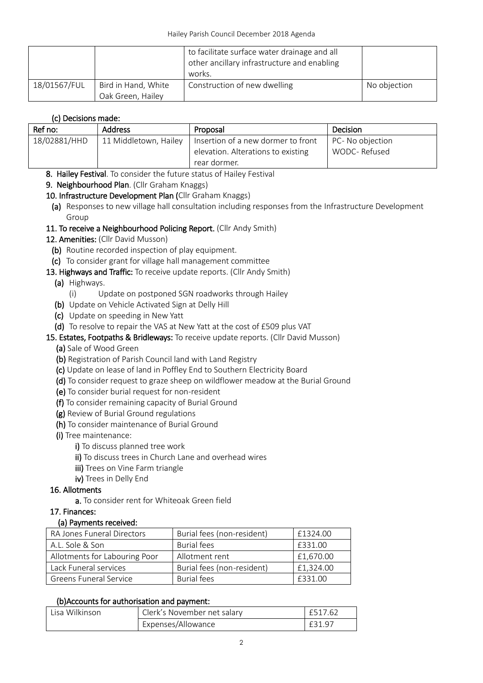|              |                                          | to facilitate surface water drainage and all<br>other ancillary infrastructure and enabling<br>works. |              |
|--------------|------------------------------------------|-------------------------------------------------------------------------------------------------------|--------------|
| 18/01567/FUL | Bird in Hand, White<br>Oak Green, Hailey | Construction of new dwelling                                                                          | No objection |

## (c) Decisions made:

| Ref no:      | <b>Address</b>        | Proposal                           | Decision         |
|--------------|-----------------------|------------------------------------|------------------|
| 18/02881/HHD | 11 Middletown, Hailey | Insertion of a new dormer to front | PC- No objection |
|              |                       | elevation. Alterations to existing | WODC-Refused     |
|              |                       | rear dormer.                       |                  |

- 8. Hailey Festival. To consider the future status of Hailey Festival
- 9. Neighbourhood Plan. (Cllr Graham Knaggs)
- 10. Infrastructure Development Plan (Cllr Graham Knaggs)
- (a) Responses to new village hall consultation including responses from the Infrastructure Development Group
- 11. To receive a Neighbourhood Policing Report. (Cllr Andy Smith)
- 12. Amenities: (Cllr David Musson)
	- (b) Routine recorded inspection of play equipment.
	- (c) To consider grant for village hall management committee
- 13. Highways and Traffic: To receive update reports. (Cllr Andy Smith)
	- (a) Highways.
		- (i) Update on postponed SGN roadworks through Hailey
	- (b) Update on Vehicle Activated Sign at Delly Hill
	- (c) Update on speeding in New Yatt
	- (d) To resolve to repair the VAS at New Yatt at the cost of £509 plus VAT
- 15. Estates, Footpaths & Bridleways: To receive update reports. (Cllr David Musson)
	- (a) Sale of Wood Green
	- (b) Registration of Parish Council land with Land Registry
	- (c) Update on lease of land in Poffley End to Southern Electricity Board
	- (d) To consider request to graze sheep on wildflower meadow at the Burial Ground
	- (e) To consider burial request for non-resident
	- (f) To consider remaining capacity of Burial Ground
	- (g) Review of Burial Ground regulations
	- (h) To consider maintenance of Burial Ground
	- (i) Tree maintenance:
		- i) To discuss planned tree work
		- ii) To discuss trees in Church Lane and overhead wires
		- **iii)** Trees on Vine Farm triangle
		- iv) Trees in Delly End

#### 16. Allotments

- a. To consider rent for Whiteoak Green field
- 17. Finances:

#### (a) Payments received:

| RA Jones Funeral Directors    | Burial fees (non-resident) | £1324.00  |
|-------------------------------|----------------------------|-----------|
| A.L. Sole & Son               | <b>Burial fees</b>         | £331.00   |
| Allotments for Labouring Poor | Allotment rent             | £1,670.00 |
| Lack Funeral services         | Burial fees (non-resident) | £1,324.00 |
| <b>Greens Funeral Service</b> | <b>Burial fees</b>         | £331.00   |

#### (b)Accounts for authorisation and payment:

| Lisa Wilkinson | Clerk's November net salary | £517.62 |
|----------------|-----------------------------|---------|
|                | Expenses/Allowance          |         |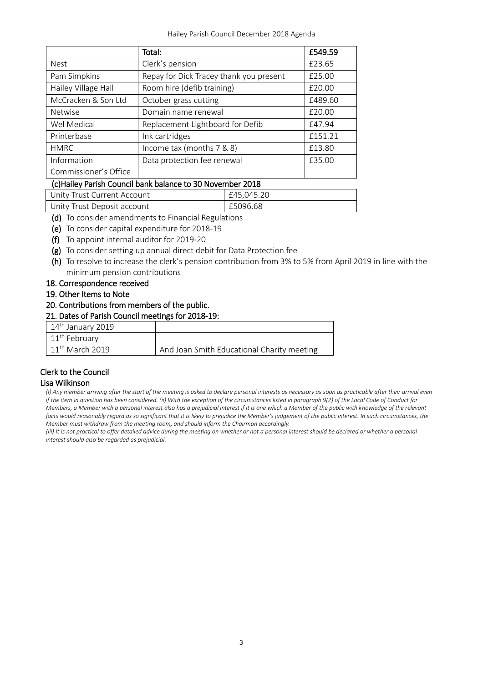Hailey Parish Council December 2018 Agenda

|                       | Total:                                  | £549.59 |
|-----------------------|-----------------------------------------|---------|
| <b>Nest</b>           | Clerk's pension                         | £23.65  |
| Pam Simpkins          | Repay for Dick Tracey thank you present | £25.00  |
| Hailey Village Hall   | Room hire (defib training)              | £20.00  |
| McCracken & Son Ltd   | October grass cutting                   | £489.60 |
| <b>Netwise</b>        | Domain name renewal                     | £20.00  |
| Wel Medical           | Replacement Lightboard for Defib        | £47.94  |
| Printerbase           | Ink cartridges                          | £151.21 |
| <b>HMRC</b>           | Income tax (months 7 & 8)               | £13.80  |
| Information           | Data protection fee renewal             | £35.00  |
| Commissioner's Office |                                         |         |

## (c)Hailey Parish Council bank balance to 30 November 2018

| Unity Trust Current Account | £45,045.20 |
|-----------------------------|------------|
| Unity Trust Deposit account | £5096.68   |
|                             |            |

- (d) To consider amendments to Financial Regulations
- (e) To consider capital expenditure for 2018-19
- (f) To appoint internal auditor for 2019-20
- (g) To consider setting up annual direct debit for Data Protection fee
- (h) To resolve to increase the clerk's pension contribution from 3% to 5% from April 2019 in line with the minimum pension contributions
- 18. Correspondence received
- 19. Other Items to Note
- 20. Contributions from members of the public.

#### 21. Dates of Parish Council meetings for 2018-19:

| $14th$ January 2019 |                                            |
|---------------------|--------------------------------------------|
| $11th$ February     |                                            |
| $11th$ March 2019   | And Joan Smith Educational Charity meeting |

# Clerk to the Council

#### Lisa Wilkinson

*(i) Any member arriving after the start of the meeting is asked to declare personal interests as necessary as soon as practicable after their arrival even if the item in question has been considered. (ii) With the exception of the circumstances listed in paragraph 9(2) of the Local Code of Conduct for Members, a Member with a personal interest also has a prejudicial interest if it is one which a Member of the public with knowledge of the relevant facts would reasonably regard as so significant that it is likely to prejudice the Member's judgement of the public interest. In such circumstances, the Member must withdraw from the meeting room, and should inform the Chairman accordingly.*

*(iii)* It is not practical to offer detailed advice during the meeting on whether or not a personal interest should be declared or whether a personal *interest should also be regarded as prejudicial.*